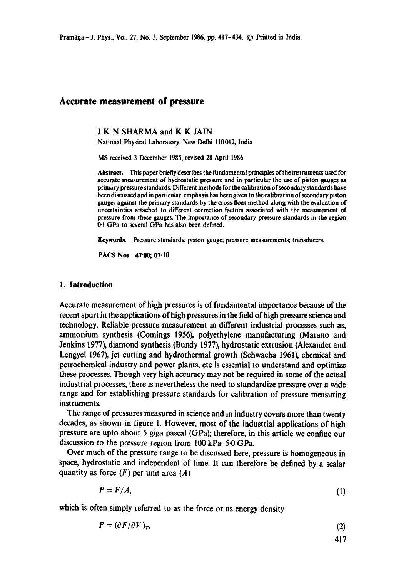### **Accurate measurement of pressure**

J K N SHARMA and K K JAIN

National Physical Laboratory, New Delhi 110012, India

MS received 3 December 1985; revised 28 April 1986

Abstract. *This paper briefly describes the fundamentai principles of the instruments used for*  accurate measurement of hydrostatic pressure and in particular the use of piston gauges as primary pressure standards. Different methods for the calibration of secondary standards have been discussed and in particular, emphasis has been given to the calibration of secondary piston gauges against the primary standards by the cross-float method along with the evaluation of uncertainties attached to different correction factors associated with the measurement of pressure from these gauges. The importance of secondary pressure standards in the region 0-1 GPa to several GPa has also been defined.

**Keywords.** Pressure standards; piston gauge; pressure measurements; transducers.

**PACS Nos 47-80; 07.10** 

#### **1. Introduction**

Accurate measurement of high pressures is of fundamental importance because of the recent spurt in the applications of high pressures in the field of high pressure science and technology. Reliable pressure measurement in different industrial processes such as, ammonium synthesis (Comings 1956), polyethylene manufacturing (Marano and Jenkins 1977), diamond synthesis (Bundy 1977), hydrostatic extrusion (Alexander and Lengyel 1967), jet cutting and hydrothermai growth (Schwacha 1961), chemical and petrochemical industry and power plants, etc is essential to understand and optimize these processes. Though very high accuracy may not be required in some of the actual industrial processes, there is nevertheless the need to standardize pressure over a wide range and for establishing pressure standards for calibration of pressure measuring instruments.

The range of pressures measured in science and in industry covers more than twenty decades, as shown in figure 1. However, most of the industrial applications of high pressure are upto about 5 giga pascal (GPa); therefore, in this article we confine our discussion to the pressure region from 100 kPa-5-0 GPa.

Over much of the pressure range to be discussed here, pressure is homogeneous in space, hydrostatic and independent of time. It can therefore be defined by a scalar quantity as force  $(F)$  per unit area  $(A)$ 

$$
P = F/A, \tag{1}
$$

which is often simply referred to as the force or as energy density

$$
P = (\partial F / \partial V)_{T},\tag{2}
$$

$$
417
$$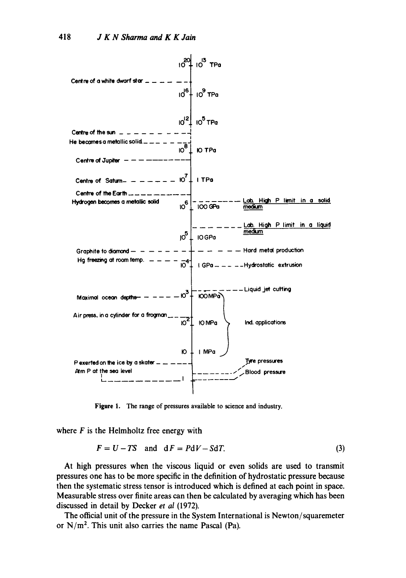

**Figure** l. The range of pressures available to science and industry.

where  $F$  is the Helmholtz free energy with

$$
F = U - TS \quad \text{and} \quad dF = PdV - SdT. \tag{3}
$$

At high pressures when the viscous liquid or even solids are used to transmit pressures one has to be more specific in the definition of hydrostatic pressure because then the systematic stress tensor is introduced which is defined at each point in space. Measurable stress over finite areas can then be calculated by averaging which has been discussed in detail by Decker *et al* (1972).

The official unit of the pressure in the System International is Newton/squaremeter or  $N/m<sup>2</sup>$ . This unit also carries the name Pascal (Pa).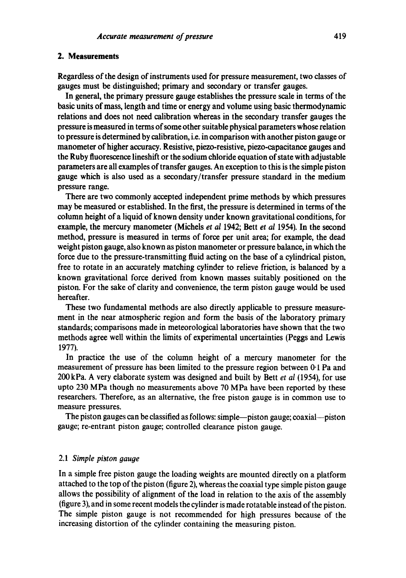#### **2. Measurements**

Regardless of the design of instruments used for pressure measurement, two classes of gauges must be distinguished; primary and secondary or transfer gauges.

In general, the primary pressure gauge establishes the pressure scale in terms of the basic units of mass, length and time or energy and volume using basic thermodynamic relations and does not need calibration whereas in the secondary transfer gauges the pressure is measured in terms of some other suitable physical parameters whose relation to pressure is determined by calibration, i.e. in comparison with another piston gauge or manometer of higher accuracy. Resistive, piezo-resistive, piezo-capacitancc gauges and the Ruby fluorescence lineshift or the sodium chloride equation of state with adjustable parameters are all examples of transfer gauges. An exception to this is the simple piston gauge which is also used as a secondary/transfer pressure standard in the medium pressure range.

There are two commonly accepted independent prime methods by which pressures may be measured or established. In the first, the pressure is determined in terms of the column height of a liquid of known density under known gravitational conditions, for example, the mercury manometer (Michels *et al 1942*; Bett *et al 1954*). In the second method, pressure is measured in terms of force per unit area; for example, the dead weight piston gauge, also known as piston manometer or pressure balance, in which the force due to the pressure-transmitting fluid acting on the base of a cylindrical piston, free to rotate in an accurately matching cylinder to relieve friction, is balanced by a known gravitational force derived from known masses suitably positioned on the piston. For the sake of clarity and convenience, the term piston gauge would be used hereafter.

These two fundamental methods are also directly applicable to pressure measurement in the near atmospheric region and form the basis of the laboratory primary standards; comparisons made in meteorological laboratories have shown that the two methods agree well within the limits of experimental uncertainties (Peggs and Lewis 1977).

In practice the use of the column height of a mercury manometer for the measurement of pressure has been limited to the pressure region between 0-1 Pa and 200 kPa. A very elaborate system was designed and built by Bett *et al* (1954), for use upto 230 MPa though no measurements above 70 MPa have been reported by these researchers. Therefore, as an alternative, the free piston gauge is in common use to measure pressures.

The piston gauges can be classified as follows: simple—piston gauge; coaxial—piston gauge; re-entrant piston gauge; controlled clearance piston gauge.

### 2.1 *Simple piston gauge*

In a simple free piston gauge the loading weights are mounted directly on a platform attached to the top of the piston (figure 2), whereas the coaxial type simple piston gauge allows the possibility of alignment of the load in relation to the axis of the assembly (figure 3), and in some recent models the cylinder is made rotatable instead of the piston. The simple piston gauge is not recommended for high pressures because of the increasing distortion of the cylinder containing the measuring piston.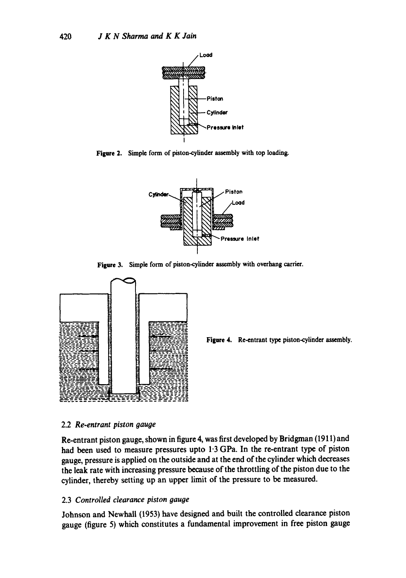

**Figure 2. Simple form of piston-cylinder assembly with top loading.** 



**Figure 3. Simple form of piston-cylinder assembly with overhang carrier.** 



**Figure 4.** Re-entrant type piston-cylinder assembly.

# *2.2 Re-entrant piston gauge*

**Re-entrant piston gauge, shown in figure 4, was first developed by Bridgman (1911) and had been used to measure pressures upto 1.3 GPa. In the re-entrant type of piston gauge, pressure is applied on the outside and at the end of the cylinder which decreases the leak rate with increasing pressure because of the throttling of the piston due to the cylinder, thereby setting up an upper limit of the pressure to be measured.** 

# **2.3** *Controlled clearance piston gauge*

**Johnson and Newhall (1953) have designed and built the controlled clearance piston gauge (figure 5) which constitutes a fundamental improvement in free piston gauge**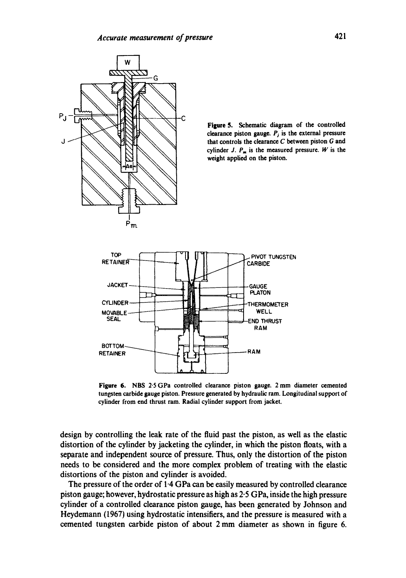

**Figure 5. Schematic diagram of the controlled**  clearance piston gauge.  $P_j$  is the external pressure **that controls the clearance C between piston G and**  cylinder J.  $P_m$  is the measured pressure. W is the **weight applied on the piston.** 



**Figure** 6. NBS 2'5 GPa controlled clearance piston gauge. 2 mm diameter cemented tungsten carbide gauge piston. Pressure generated by hydraulic ram. Longitudinal support of cylinder from end thrust ram. Radial cylinder support from jacket.

design by controlling the leak rate of the fluid past the piston, as well as the elastic distortion of the cylinder by jacketing the cylinder, in which the piston floats, with a separate and independent source of pressure. Thus, only the distortion of the piston needs to be considered and the more complex problem of treating with the elastic distortions of the piston and cylinder is avoided.

The pressure of the order of  $1.4$  GPa can be easily measured by controlled clearance piston gauge; however, hydrostatic pressure as high as 2-5 GPa, inside the high pressure cylinder of a controlled clearance piston gauge, has been generated by Johnson and Heydemann (1967) using hydrostatic intensifiers, and the pressure is measured with a cemented tungsten carbide piston of about 2 mm diameter as shown in figure 6.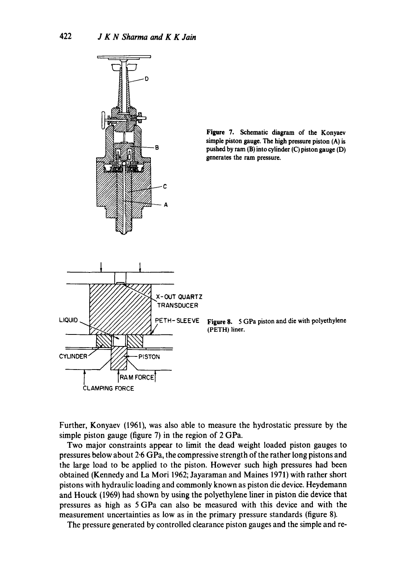



**Figure** 8. 5 GPa piston **and die** with polyethylene (PETH) liner.

Further, Konyaev (1961), was also able to measure the hydrostatic pressure by the simple piston gauge (figure 7) in the region of 2 GPa.

Two major constraints appear to limit the dead weight loaded piston gauges to pressures below about 2.6 GPa, the compressive strength of the rather long pistons and the large load to be applied to the piston. However such high pressures had been obtained (Kennedy and La Mori 1962; Jayaraman and Maines 1971) with rather short pistons with hydraulic loading and commonly known as piston die device. Heydemann and Houck (1969) had shown by using the polyethylene liner in piston die device that pressures as high as 5 GPa can also be measured with this device and with the measurement uncertainties as low as in the primary pressure standards (figure 8).

The pressure generated by controlled clearance piston gauges and the simple and re-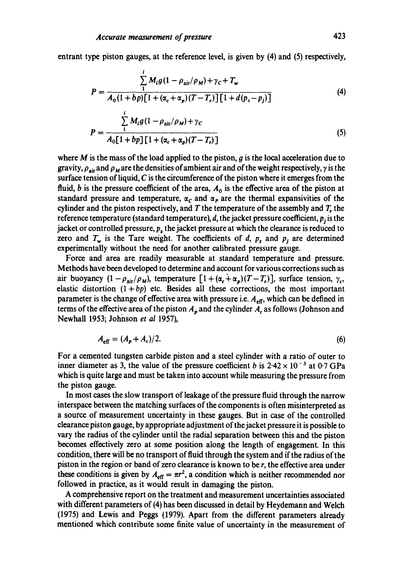entrant type piston gauges, at the reference level, is given by (4) and (5) respectively,

$$
P = \frac{\sum_{1}^{i} M_{i}g(1 - \rho_{\text{air}}/\rho_{M}) + \gamma_{C} + T_{w}}{A_{0}(1 + bp)[1 + (\alpha_{c} + \alpha_{p})(T - T_{r})][1 + d(p_{z} - p_{j})]}
$$
(4)

$$
P = \frac{\sum_{1}^{i} M_{i}g(1 - \rho_{\text{air}}/\rho_{M}) + \gamma_{C}}{A_{0}[1 + bp][1 + (\alpha_{c} + \alpha_{p})(T - T_{r})]}
$$
(5)

where  $M$  is the mass of the load applied to the piston,  $g$  is the local acceleration due to gravity,  $\rho_{air}$  and  $\rho_M$  are the densities of ambient air and of the weight respectively,  $\gamma$  is the surface tension of liquid,  $C$  is the circumference of the piston where it emerges from the fluid, b is the pressure coefficient of the area,  $A_0$  is the effective area of the piston at standard pressure and temperature,  $\alpha_c$  and  $\alpha_p$  are the thermal expansivities of the cylinder and the piston respectively, and  $T$  the temperature of the assembly and  $T$ , the reference temperature (standard temperature),  $d$ , the jacket pressure coefficient,  $p_i$  is the jacket or controlled pressure, *p,* the jacket pressure at which the clearance is reduced to zero and  $T_w$  is the Tare weight. The coefficients of d,  $p_z$  and  $p_j$  are determined experimentally without the need for another calibrated pressure gauge.

Force and area are readily measurable at standard temperature and pressure. Methods have been developed to determine and account for various corrections such as air buoyancy  $(1-\rho_{air}/\rho_M)$ , temperature  $[1+(\alpha_c+\alpha_p)(T-T_r)]$ , surface tension,  $\gamma_c$ , elastic distortion  $(1 + bp)$  etc. Besides all these corrections, the most important parameter is the change of effective area with pressure i.e.  $A_{\text{eff}}$ , which can be defined in terms of the effective area of the piston  $A_p$  and the cylinder  $A_c$  as follows (Johnson and Newhall 1953; Johnson *et al* 1957),

$$
A_{\rm eff} = (A_p + A_c)/2. \tag{6}
$$

For a cemented tungsten carbide piston and a steel cylinder with a ratio of outer to inner diameter as 3, the value of the pressure coefficient b is  $2.42 \times 10^{-3}$  at 0.7 GPa which is quite large and must be taken into account while measuring the pressure from the piston gauge.

In most cases the slow transport of leakage of the pressure fluid through the narrow interspace between the matching surfaces of the components is often misinterpreted as a source of measurement uncertainty in these gauges. But in case of the controlled clearance piston gauge, by appropriate adjustment of the jacket pressure it is possible to vary the radius of the cylinder until the radial separation between this and the piston becomes effectively zero at some position along the length of engagement. In this condition, there will be no transport of fluid through the system and if the radius of the piston in the region or band of zero clearance is known to be r, the effective area under these conditions is given by  $A_{\text{eff}} = \pi r^2$ , a condition which is neither recommended nor followed in practice, as it would result in damaging the piston.

A comprehensive report on the treatment and measurement uncertainties associated with different parameters of (4) has been discussed in detail by Heydemann and Welch (1975) and Lewis and Peggs (1979). Apart from the different parameters already mentioned which contribute some finite value of uncertainty in the measurement of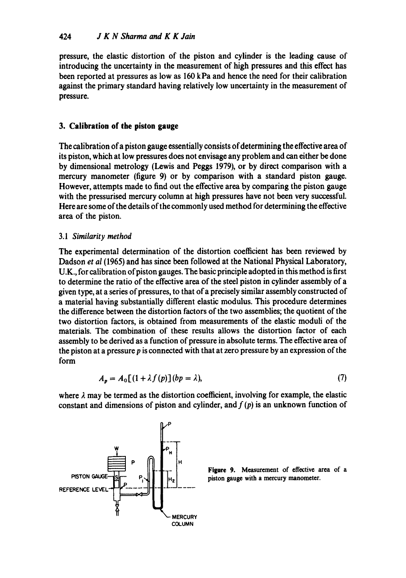pressure, the elastic distortion of the piston and cylinder is the leading cause of introducing the uncertainty in the measurement of high pressures and this effect has been reported at pressures as low as 160 kPa and hence the need for their calibration against the primary standard having relatively low uncertainty in the measurement of pressure.

# **3. Calibration of the piston gauge**

The calibration of a piston gauge essentially consists of determining the effective area of its piston, which at low pressures does not envisage any problem and can either be done by dimensional metrology (Lewis and Peggs 1979), or by direct comparison with a mercury manometer (figure 9) or by comparison with a standard piston gauge. However, attempts made to find out the effective area by comparing the piston gauge with the pressurised mercury column at high pressures have not been very successful. Here are some of the details of the commonly used method for determining the effective area of the piston.

# 3.1 *Similarity method*

The experimental determination of the distortion coefficient has been reviewed by Dadson *et al* (1965) and has since been followed at the National Physical Laboratory, U.K., for calibration of piston gauges. The basic principle adopted in this method is first to determine the ratio of the effective area of the steel piston in cylinder assembly of a given type, at a series of pressures, to that of a precisely similar assembly constructed of a material having substantially different elastic modulus. This procedure determines the difference between the distortion factors of the two assemblies; the quotient of the two distortion factors, is obtained from measurements of the elastic moduli of the materials. The combination of these results allows the distortion factor of each assembly to be derived as a function of pressure in absolute terms. The effective area of the piston at a pressure  $p$  is connected with that at zero pressure by an expression of the form

$$
A_p = A_0[(1 + \lambda f(p)](bp = \lambda), \tag{7}
$$

where  $\lambda$  may be termed as the distortion coefficient, involving for example, the elastic constant and dimensions of piston and cylinder, and  $f(p)$  is an unknown function of



**Figure 9.** Measurement of **effective area of a**  piston gauge with a mercury manometer.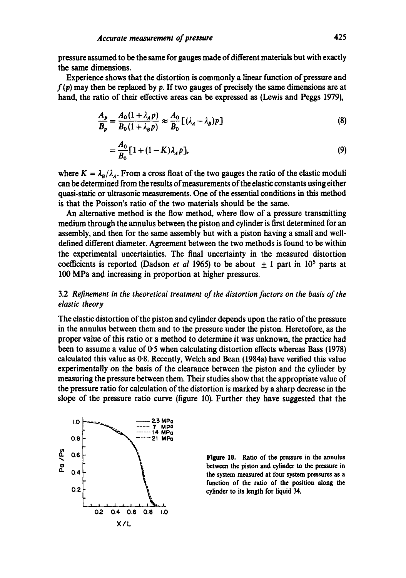pressure assumed to be the same for gauges made of different materials but with exactly the same dimensions.

Experience shows that the distortion is commonly a linear function of pressure and  $f(p)$  may then be replaced by p. If two gauges of precisely the same dimensions are at hand, the ratio of their effective areas can be expressed as (Lewis and Peggs 1979),

$$
\frac{A_p}{B_p} = \frac{A_0(1 + \lambda_A p)}{B_0(1 + \lambda_B p)} \approx \frac{A_0}{B_0} [(\lambda_A - \lambda_B)p]
$$
\n(8)

$$
=\frac{A_0}{B_0}[1+(1-K)\lambda_A p],
$$
\n(9)

where  $K = \lambda_B/\lambda_A$ . From a cross float of the two gauges the ratio of the elastic moduli can be determined from the results of measurements of the elastic constants using either quasi-static or ultrasonic measurements. One of the essential conditions in this method is that the Poisson's ratio of the two materials should be the same.

An alternative method is the flow method, where flow of a pressure transmitting medium through the annulus between the piston and cylinder is first determined for an assembly, and then for the same assembly but with a piston having a small and welldefined different diameter. Agreement between the two methods is found to be within the experimental uncertainties. The final uncertainty in the measured distortion coefficients is reported (Dadson *et al* 1965) to be about  $+1$  part in 10<sup>5</sup> parts at 100 MPa and increasing in proportion at higher pressures.

### 3.2 *Refinement in the theoretical treatment of the distortion factors on the basis of the elastic theory*

The elastic distortion of the piston and cylinder depends upon the ratio of the pressure in the annulus between them and to the pressure under the piston. Heretofore, as the proper value of this ratio or a method to determine it was unknown, the practice had been to assume a value of 0.5 when calculating distortion effects whereas Bass (1978) calculated this value as 0.8. Recently, Welch and Bean (1984a) have verified this value experimentally on the basis of the clearance between the piston and the cylinder by measuring the pressure between them. Their studies show that the appropriate value of the pressure ratio for calculation of the distortion is marked by a sharp decrease in the slope of the pressure ratio curve (figure 10). Further they have suggested that the



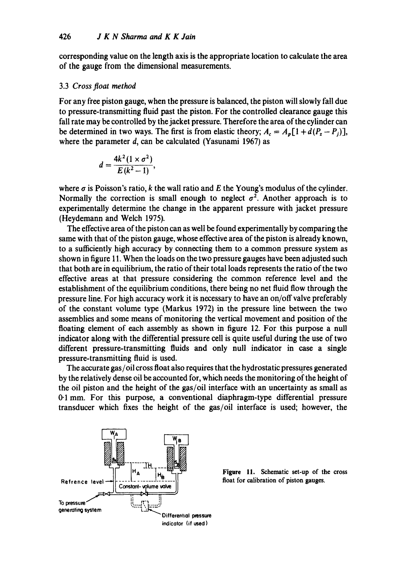corresponding value on the length axis is the appropriate location to calculate the area of the gauge from the dimensional measurements.

#### 3.3 *Cross float method*

For any free piston gauge, when the pressure is balanced, the piston will slowly fall due to pressure-transmitting fluid past the piston. For the controlled clearance gauge this fall rate may be controlled by the jacket pressure. Therefore the area of the cylinder can be determined in two ways. The first is from elastic theory;  $A_c = A_n[1 + d(P_z - P_i)],$ where the parameter d, can be calculated (Yasunami 1967) as

$$
d=\frac{4k^2(1\times\sigma^2)}{E(k^2-1)},
$$

where  $\sigma$  is Poisson's ratio, k the wall ratio and E the Young's modulus of the cylinder. Normally the correction is small enough to neglect  $\sigma^2$ . Another approach is to experimentally determine the change in the apparent pressure with jacket pressure (Heydemann and Welch 1975).

The effective area of the piston can as well he found experimentally by comparing the same with that of the piston gauge, whose effective area of the piston is already known, to a sufficiently high accuracy by connecting them to a common pressure system as shown in figure 11. When the loads on the two pressure gauges have been adjusted such that both are in equilibrium, the ratio of their total loads represents the ratio of the two effective areas at that pressure considering the common reference level and the establishment of the equilibrium conditions, there being no net fluid flow through the pressure line. For high accuracy work it is necessary to have an on/off valve preferably of the constant volume type (Markus 1972) in the pressure line between the two assemblies and some means of monitoring the vertical movement and position of the floating element of each assembly as shown in figure 12. For this purpose a null indicator along with the differential pressure cell is quite useful during the use of two different pressure-transmitting fluids and only null indicator in case a single pressure-transmitting fluid is used.

The accurate gas/oil cross float also requires that the hydrostatic pressures generated by the relatively dense oil be accounted for, which needs the monitoring of the height of the oil piston and the height of the gas/oil interface with an uncertainty as small as 0-1 mm. For this purpose, a conventional diaphragm-type differential pressure transducer which fixes the height of the gas/oil interface is used; however, the



**Figure** 11. Schematic **set-up of the cross**  float for calibration of piston gauges.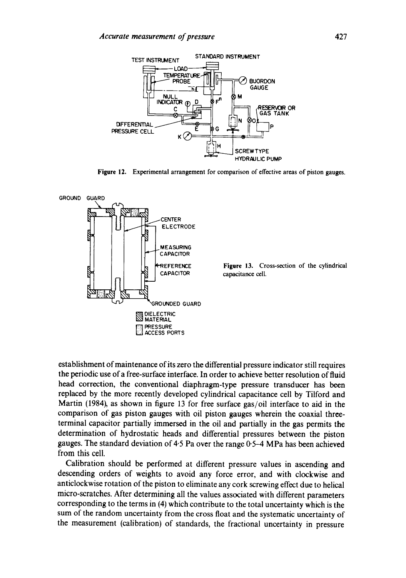

**Figure** 12. Experimental arrangement for comparison of effective areas of piston gauges.



establishment of maintenance of its zero the differential pressure indicator still requires the periodic use of a free-surface interface. In order to achieve better resolution of fluid head correction, the conventional diaphragm-type pressure transducer has been replaced by the more recently developed cylindrical capacitance cell by Tilford and Martin (1984), as shown in figure 13 for free surface gas/oil interface to aid in the comparison of gas piston gauges with oil piston gauges wherein the coaxial threeterminal capacitor partially immersed in the oil and partially in the gas permits the determination of hydrostatic heads and differential pressures between the piston gauges. The standard deviation of 4.5 Pa over the range 0.5-4 MPa has been achieved from this cell.

Calibration should be performed at different pressure values in ascending and descending orders of weights to avoid any force error, and with clockwise and anticlockwise rotation of the piston to eliminate any cork screwing effect due to helical micro-scratches. After determining all the values associated with different parameters corresponding to the terms in (4) which contribute to the total uncertainty which is the sum of the random uncertainty from the cross float and the systematic uncertainty of the measurement (calibration) of standards, the fractional uncertainty in pressure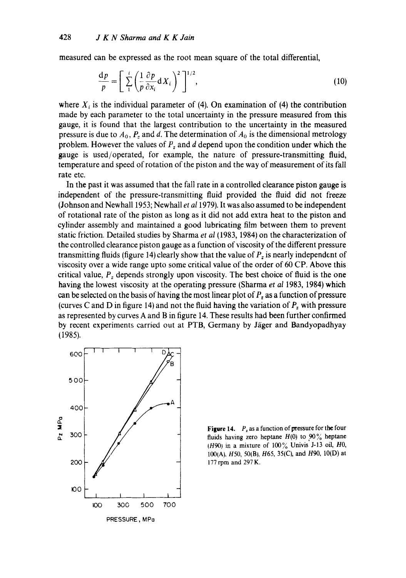measured can be expressed as the root mean square of the total differential,

$$
\frac{\mathrm{d}p}{p} = \left[ \sum_{1}^{i} \left( \frac{1}{p} \frac{\partial p}{\partial x_i} \mathrm{d} X_i \right)^2 \right]^{1/2},\tag{10}
$$

where  $X_i$  is the individual parameter of (4). On examination of (4) the contribution made by each parameter to the total uncertainty in the pressure measured from this gauge, it is found that the largest contribution to the uncertainty in the measured pressure is due to  $A_0$ ,  $P_z$  and d. The determination of  $A_0$  is the dimensional metrology problem. However the values of  $P_z$  and  $d$  depend upon the condition under which the gauge is used/operated, for example, the nature of pressure-transmitting fluid, temperature and speed of rotation of the piston and the way of measurement of its fall rate etc.

In the past it was assumed that the fall rate in a controlled clearance piston gauge is independent of the pressure-transmitting fluid provided the fluid did not freeze (Johnson and Newhal11953; Newhall *et a11979).* It was also assumed to be independent of rotational rate of the piston as long as it did not add extra heat to the piston and cylinder assembly and maintained a good lubricating film between them to prevent static friction. Detailed studies by Sharma *et al* (1983, 1984) on the characterization of the controlled clearance piston gauge as a function of viscosity of the different pressure transmitting fluids (figure 14) clearly show that the value of  $P<sub>z</sub>$  is nearly independent of viscosity over a wide range upto some critical value of the order of 60 CP. Above this critical value,  $P_z$  depends strongly upon viscosity. The best choice of fluid is the one having the lowest viscosity at the operating pressure (Sharma *et al* 1983, 1984) which can be selected on the basis of having the most linear plot of  $P<sub>z</sub>$  as a function of pressure (curves C and D in figure 14) and not the fluid having the variation of  $P<sub>z</sub>$  with pressure as represented by curves A and B in figure 14. These results had been further confirmed by recent experiments carried out at PTB, Germany by Jäger and Bandyopadhyay (1985).



**Figure 14.**  $P_z$  as a function of pressure for the four fluids having zero heptane  $H(0)$  to  $90\%$  heptane (H90) in a mixture of  $100\%$  Univis J-13 oil, H0, 100(A), H50, 50(B), H65, 35(C), and H90, 10(D) at 177 rpm and 297 K.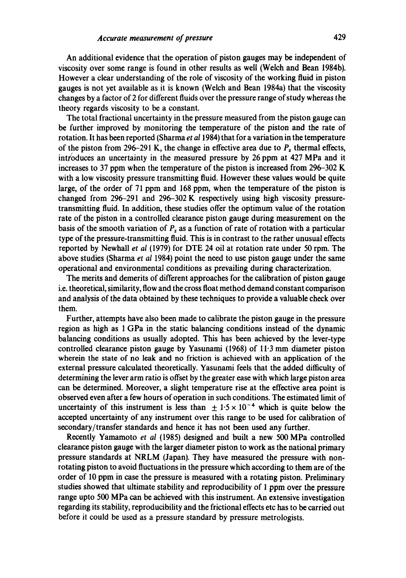An additional evidence that the operation of piston gauges may be independent of viscosity over some range is found in other results as well (Welch and Bean 1984b). However a clear understanding of the role of viscosity of the working fluid in piston gauges is not yet available as it is known (Welch and Bean 1984a) that the viscosity changes by a factor of 2 for different fluids over the pressure range of study whereas the theory regards viscosity to be a constant.

The total fractional uncertainty in the pressure measured from the piston gauge can be further improved by monitoring the temperature of the piston and the rate of rotation. It has been reported (Sharma *et a11984)* that for a variation in the temperature of the piston from 296-291 K, the change in effective area due to  $P<sub>z</sub>$  thermal effects, introduces an uncertainty in the measured pressure by 26 ppm at  $427$  MPa and it increases to 37 ppm when the temperature of the piston is increased from 296-302 K with a low viscosity pressure transmitting fluid. However these values would be quite large, of the order of 71 ppm and 168 ppm, when the temperature of the piston is changed from 296-291 and 296-302 K respectively using high viscosity pressuretransmitting fluid. In addition, these studies offer the optimum value of the rotation rate of the piston in a controlled clearance piston gauge during measurement on the basis of the smooth variation of  $P<sub>z</sub>$  as a function of rate of rotation with a particular type of the pressure-transmitting fluid. This is in contrast to the rather unusual effects reported by Newhall *et al* (1979) for DTE 24 oil at rotation rate under 50 rpm. The above studies (Sharma *et al* 1984) point the need to use piston gauge under the same operational and environmental conditions as prevailing during characterization.

The merits and demerits of different approaches for the calibration of piston gauge i.e. theoretical, similarity, flow and the cross float method demand constant comparison and analysis of the data obtained by these techniques to provide a valuable check over them.

Further, attempts have also been made to calibrate the piston gauge in the pressure region as high as 1 GPa in the static balancing conditions instead of the dynamic balancing conditions as usually adopted. This has been achieved by the lever-type controlled clearance piston gauge by Yasunami (1968) of 11.3 mm diameter piston wherein the state of no leak and no friction is achieved with an application of the external pressure calculated theoretically. Yasunami feels that the added difficulty of determining the lever arm ratio is offset by the greater ease with which large piston area can be determined. Moreover, a slight temperature rise at the effective area point is observed even after a few hours of operation in such conditions. The estimated limit of uncertainty of this instrument is less than  $\pm 1.5 \times 10^{-4}$  which is quite below the accepted uncertainty of any instrument over this range to be used for calibration of secondary/transfer standards and hence it has not been used any further.

Recently Yamamoto *et al* (1985) designed and built a new 500 MPa controlled clearance piston gauge with the larger diameter piston to work as the national primary pressure standards at NRLM (Japan). They have measured the pressure with nonrotating piston to avoid fluctuations in the pressure which according to them are of the order of 10 ppm in case the pressure is measured with a rotating piston. Preliminary studies showed that ultimate stability and reproducibility of 1 ppm over the pressure range upto 500 MPa can be achieved with this instrument. An extensive investigation regarding its stability, reproducibility and the frictional effects etc has to be carried out before it could be used as a pressure standard by pressure metrologists.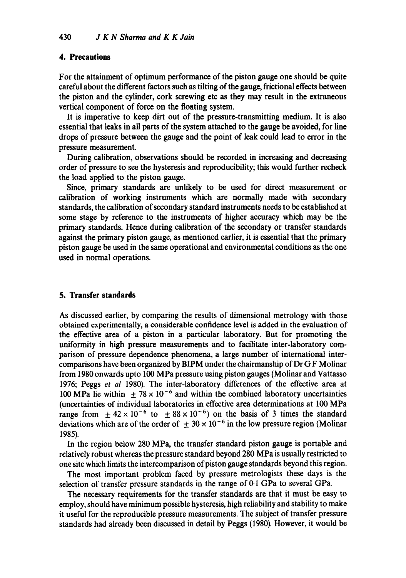### **4. Precautions**

For the attainment of optimum performance of the piston gauge one should be quite careful about the different factors such as tilting of the gauge, frictional effects between the piston and the cylinder, cork screwing etc as they may result in the extraneous vertical component of force on the floating system.

It is imperative to keep dirt out of the pressure-transmitting medium. It is also essential that leaks in all parts of the system attached to the gauge be avoided, for line drops of pressure between the gauge and the point of leak could lead to error in the pressure measurement.

During calibration, observations should be recorded in increasing and decreasing order of pressure tO see the hysteresis and reproducibility; this would further recheck the load applied to the piston gauge.

Since, primary standards are unlikely to be used for direct measurement or calibration of working instruments which are normally made with secondary standards, the calibration of secondary standard instruments needs to be established at some stage by reference to the instruments of higher accuracy which may be the primary standards. Hence during calibration of the secondary or transfer standards against the primary piston gauge, as mentioned earlier, it is essential that the primary piston gauge be used in the same operational and environmental conditions as the one used in normal operations.

### **5. Transfer standards**

As discussed earlier, by comparing the results of dimensional metrology with those obtained experimentally, a considerable confidence level is added in the evaluation of the effective area of a piston in a particular laboratory. But for promoting the uniformity in high pressure measurements and to facilitate inter-laboratory comparison of pressure dependence phenomena, a large number of international intercomparisons have been organized by BIPM under the chairmanship of Dr G F Molinar from 1980 onwards upto 100 MPa pressure using piston gauges (Molinar and Vattasso 1976; Peggs *et al* 1980). The inter-laboratory differences of the effective area at 100 MPa lie within  $\pm 78 \times 10^{-6}$  and within the combined laboratory uncertainties (uncertainties of individual laboratories in effective area determinations at 100 MPa range from  $\pm 42 \times 10^{-6}$  to  $\pm 88 \times 10^{-6}$ ) on the basis of 3 times the standard deviations which are of the order of  $\pm 30 \times 10^{-6}$  in the low pressure region (Molinar 1985).

In the region below 280 MPa, the transfer standard piston gauge is portable and relatively robust whereas the pressure standard beyond 280 MPa is usually restricted to one site which limits the intercomparison of piston gauge standards beyond this region.

The most important problem faced by pressure metrologists these days is the selection of transfer pressure standards in the range of 0.1 GPa to several GPa.

The necessary requirements for the transfer standards are that it must be easy to employ, should have minimum possible hysteresis, high reliability and stability to make it useful for the reproducible pressure measurements. The subject of transfer pressure standards had already been discussed in detail by Peggs (1980). However, it would be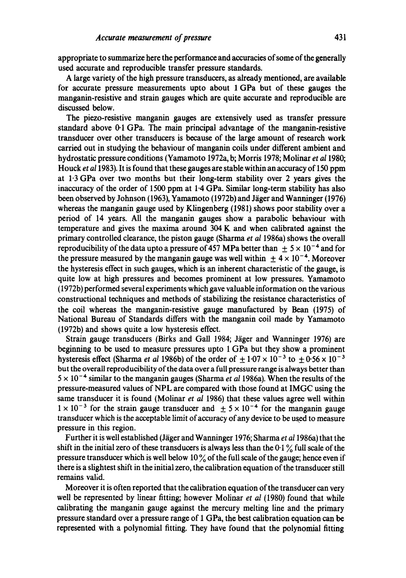appropriate to summarize here the performance and accuracies of some of the generally used accurate and reproducible transfer pressure standards.

A large variety of the high pressure transducers, as already mentioned, are available for accurate pressure measurements upto about 1 GPa but of these gauges the manganin-resistive and strain gauges which are quite accurate and reproducible are discussed below.

The piezo-resistive manganin gauges are extensively used as transfer pressure standard above 0.1 GPa. The main principal advantage of the manganin-resistive transducer over other transducers is because of the large amount of research work carried out in studying the behaviour of manganin coils under different ambient and hydrostatic pressure conditions (Yamamoto 1972a, b; Morris 1978; Molinar *et a11980;*  Houck *et a11983).* It is found that these gauges are stable within an accuracy of 150 ppm at 1.3 GPa over two months but their long-term stability over 2 years gives the inaccuracy of the order of 1500 ppm at 1.4 GPa. Similar long-term stability has also been observed by Johnson (1963), Yamamoto (1972b) and Jäger and Wanninger (1976) whereas the manganin gauge used by Klingenberg (1981) shows poor stability over a period of 14 years. All the manganin gauges show a parabolic behaviour with temperature and gives the maxima around 304 K and when calibrated against the primary controlled clearance, the piston gauge (Sharma *et al* 1986a) shows the overall reproducibility of the data upto a pressure of 457 MPa better than  $\pm$  5  $\times$  10<sup>-4</sup> and for the pressure measured by the manganin gauge was well within  $\pm 4 \times 10^{-4}$ . Moreover the hysteresis effect in such gauges, which is an inherent characteristic of the gauge, is quite low at high pressures and becomes prominent at low pressures. Yamamoto (1972b) performed several experiments which gave valuable information on the various constructional techniques and methods of stabilizing the resistance characteristics of the coil whereas the manganin-resistive gauge manufactured by Bean (1975) of National Bureau of Standards differs with the manganin coil made by Yamamoto (1972b) and shows quite a low hysteresis effect.

Strain gauge transducers (Birks and Gall 1984; Jäger and Wanninger 1976) are beginning to be used to measure pressures upto 1 GPa but they show a prominent hysteresis effect (Sharma *et al* 1986b) of the order of  $\pm 1.07 \times 10^{-3}$  to  $\pm 0.56 \times 10^{-3}$ but the overall reproducibility of the data over a full pressure range is always better than  $5 \times 10^{-4}$  similar to the manganin gauges (Sharma *et al* 1986a). When the results of the pressure-measured values of NPL are compared with those found at IMGC using the same transducer it is found (Molinar *et al* 1986) that these values agree well within  $1 \times 10^{-3}$  for the strain gauge transducer and  $\pm$  5  $\times$  10<sup>-4</sup> for the manganin gauge transducer which is the acceptable limit of accuracy of any device to be used to measure pressure in this region.

Further it is well established (Jäger and Wanninger 1976; Sharma *et al* 1986a) that the shift in the initial zero of these transducers is always less than the  $0.1\%$  full scale of the pressure transducer which is well below 10  $\%$  of the full scale of the gauge; hence even if there is a slightest shift in the initial zero, the calibration equation of the transducer still remains valid.

Moreover it is often reported that the calibration equation of the transducer can very well be represented by linear fitting; however Molinar *et al* (1980) found that while calibrating the manganin gauge against the mercury melting line and the primary pressure standard over a pressure range of 1 GPa, the best calibration equation can be represented with a polynomial fitting. They have found that the polynomial fitting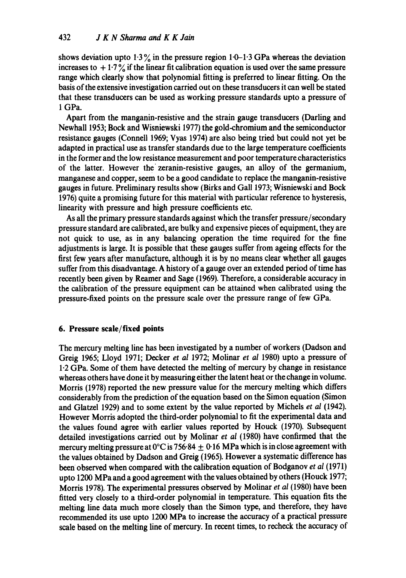shows deviation upto  $1.3\%$  in the pressure region  $1.0-1.3$  GPa whereas the deviation increases to  $+1.7\%$  if the linear fit calibration equation is used over the same pressure range which clearly show that polynomial fitting is preferred to linear fitting. On the basis of the extensive investigation carried out on these transducers it can well be stated that these transducers can be used as working pressure standards upto a pressure of 1 GPa.

Apart from the manganin-resistive and the strain gauge transducers (Darling and Newhall 1953; Bock and Wisniewski 1977) the gold-chromium and the semiconductor resistance gauges (Connell 1969; Vyas 1974) are also being tried but could not yet be adapted in practical use as transfer standards due to the large temperature coefficients in the former and the low resistance measurement and poor temperature characteristics of the latter. However the' zeranin-resistive gauges, an alloy of the germanium, manganese and copper, seem to be a good candidate to replace the manganin-resistive gauges in future. Preliminary results show (Birks and Gall 1973; Wisniewski and Bock 1976) quite a promising future for this material with particular reference to hysteresis, linearity with pressure and high pressure coefficients etc.

As all the primary pressure standards against which the transfer pressure/secondary pressure standard are calibrated, are bulky and expensive pieces of equipment, they are not quick to use, as in any balancing operation the time required for the fine adjustments is large. It is possible that these gauges suffer from ageing effects for the first few years after manufacture, although it is by no means clear whether all gauges suffer from this disadvantage. A history of a gauge over an extended period of time has recently been given by Reamer and Sage (1969). Therefore, a considerable accuracy in the calibration of the pressure equipment can be attained when calibrated using the pressure-fixed points on the pressure scale over the pressure range of few GPa.

# **6. Pressure scale/fixed points**

The mercury melting line has been investigated by a number of workers (Dadson and Greig 1965; Lloyd 1971; Decker *et al* 1972; Molinar *et al* 1980) upto a pressure of 1.2 GPa. Some of them have detected the melting of mercury by change in resistance whereas others have done it by measuring either the latent heat or the change in volume. Morris (1978) reported the new pressure value for the mercury melting which differs considerably from the prediction of the equation based on the Simon equation (Simon and Glatzel 1929) and to some extent by the value reported by Michels *et al* (1942). However Morris adopted the third-order polynomial to fit the experimental data and the values found agree with earlier values reported by Houck (1970). Subsequent detailed investigations carried out by Molinar *et al* (1980) have confirmed that the mercury melting pressure at 0°C is 756.84  $\pm$  0.16 MPa which is in close agreement with the values obtained by Dadson and Greig (1965). However a systematic difference has been observed when compared with the calibration equation of Bodganov *et al* (1971) upto 1200 MPa and a good agreement with the values obtained by others (Houck 1977; Morris 1978). The experimental pressures observed by Molinar *et al* (1980) have been fitted very closely to a third-order polynomial in temperature. This equation fits the melting line data much more closely than the Simon type, and therefore, they have recommended its use upto 1200 MPa to increase the accuracy of a practical pressure scale based on the melting line of mercury. In recent times, to recheck the accuracy of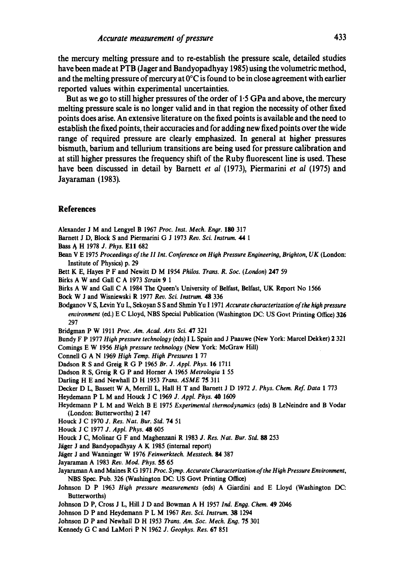**the mercury melting pressure and to re-establish the pressure scale, detailed studies have been made at PTB (Jager and Bandyopadhyay 1985) using the volumetric method, and the melting pressure of mercury at 0°C is found to be in close agreement with earlier reported values within experimental uncertainties.** 

**But as we go to still higher pressures of the order of 1.5 GPa and above, the mercury melting pressure scale is no longer valid and in that region the necessity of other fixed points does arise. An extensive fiterature on the fixed points is available and the need to establish the fixed points, their accuracies and for adding new fixed points over the wide range of required pressure are clearly emphasized. In general at higher pressures bismuth, barium and tellurium transitions are being used for pressure calibration and at still higher pressures the frequency shift of the Ruby fluorescent line is used. These have been discussed in detail by Barnett** *et al* **(1973), Piermarini** *et al* **(1975) and Jayaraman (1983).** 

#### **References**

Alexander J M and Lengyel B 1967 *Proc. Inst. Mech. Engr.* 180 317

- Barnett J D, Block S and Piermarini G J 1973 *Rev. Sci. lnstrum. 44 1*
- Bass A H 1978 *J. Phys.* E11 682
- Bean V E 1975 *Proceedings of the II Int. Conference on High Pressure Engineering, Brighton, UK (London:* **Institute** of Physics) p. 29
- **Bert** K E, Hayes P F and Newitt D M 1954 *Philos. Trans. R. Soc. (London)* 247 59
- Birks A W and Gall C A 1973 *Strain 9 1*

Birks A W and Gall C A 1984 The Queen's University of Belfast, Belfast, UK Report No 1566

Bock W J and Wisniewski R 1977 *Rev. Sci. lnstrum. 48* 336

Bodganov V S, Levin Yu L, Sekoyan S S and Slunin Yu 1 1971 *Accurate characterization of the hioh pressure environment* (ed.) E C Lloyd, NBS Special Publication (Washington DC: US Govt Printing Office) **326**  297

Bridgman P W 1911 *Proc. Am. Acad. Arts Sci.* 47 321

Bundy F P 1977 *High pressure technology* (eds) I L Spain and J Paauwe (New York: Marcel Dekker) 2 321 Comings E W 1956 *High pressure technology* (New York: McGraw Hill)

- Conneli G A N 1969 *High Temp. High Pressures* 1 77
- Dadson R S and Greig R G P 1965 *Br. J. Appl. Phys.* 16 1711
- Dadson R S, Greig R G P and Horner A 1965 *Metrolooia* 1 55
- Darling H E and Newhall D H 1953 *Trans. ASME* 75 311
- Decker D L, Bassett W A, Merrill L, Hall H T and Barnett J D 1972 *J. Phys. Chem. Ref. Data* 1 773

Heydemann P L M and Houck J C 1969 *J. Appl. Phys. 40 1609* 

Heydemann P L M and Welch B E 1975 *Experimental thermodynamics* (eds) B LeNeindre and B Vodar (London: Butterworths) 2 147

- Houck J C 1970 *J. Res. Nat. Bur. Std.* 74 51
- Houck J C 1977 *J. Appl. Phys. 48 605*
- Houck J C, Molinar G F and Maghenzani R 1983 *J. Res. Nat. Bur. Std. 88* 253
- Jäger J and Bandyopadhyay A K 1985 (internal report)

Jäger J and Wanninger W 1976 Feinwerktech. Messtech. 84 387

- Jayaraman A 1983 *Rev. Mod. Phys.* 55 65
- Jayaraman A and Maines R G 1971 *Proc. Syrup. Accurate Characterization of the Hioh Pressure Environment,*  NBS Spec. Pub. 326 (Washington DC: US Govt Printing Office)
- Johnson D P 1963 *High pressure measurements* (eds) A Giardini and E Lloyd (Washington **DC:**  Butterworths)
- Johnson D P, Cross J L, Hill J D and Bowman A H 1957 Ind. Engg. Chem. 49 2046
- Johnson D P and Heydemann P L M 1967 *Rev. Sci. lnstrum. 38* 1294
- Johnson D P and Newhall D H 1953 *Trans. Am. Sac. Mech. Eng.* 75 301
- Kennedy G C and LaMori P N 1962 *J. Geophys. Res.* 67 851